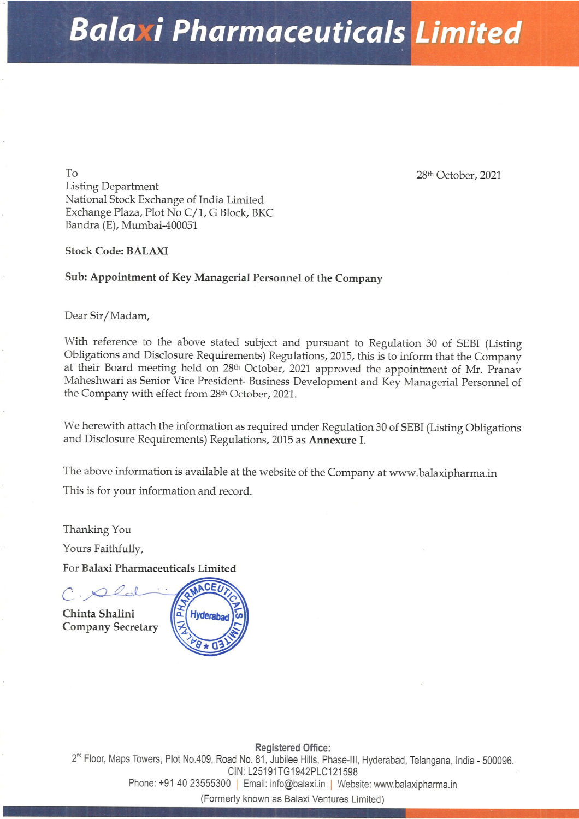## Balaxi Pharmaceuticals Limited

To 28th October, 2021 Listing Department National Stock Exchange of India Limited Exchange Plaza, Plot No C/1, G Block, BKC Bandra (E), Mumbai-400051

## Stock Code: BALAXI

## Sub: Appointment of Key Managerial Personnel of the Company

## Dear Sir/Madam,

Stock Code: BALAXI<br>
Sub: Appointment of Key Managerial Personn<br>
Dear Sir/Madam,<br>
With reference so the above stated subject are<br>
Obligations and Disclosure Requirements) Regulations<br>
at their Board meeting held on 28<sup>th</sup> With reference to the above stated subject and pursuant to Regulation 30 of SEBI (Listing Obligations and Disclosure Requirements) Regulations, 2015, this is to inform that the Company at their Board meeting held on 28<sup>th</sup> **Balance Controller Controller Controller Controller Controller Controller Controller Controller Controller Controller Controller Controller Controller Controller Controller Controller Controller Controller Controller Con** 

We herewith attach the information as required under Regulation 30 of SEBI (Listing Obligations and Disclosure Requirements) Regulations, 2015 as Annexure I.

The above information is available at the website of the Company at www.balaxipharma.in This is for your information and record.

Thanking You

Yours Faithfully,

For Balaxi Pharmaceuticals Limited

 $C.\blacktriangle Q$ d Chinta Shalini Company Secretary



Plot No.40<br>-91 40 235<br>|} Registered Office: 2" Floor, Maps Towers, Plot No.409, Road No. 81, Jubilee Hills, Phase-lll, Hyderabad, Telangana, India - 500096. CIN: L25191TG1942PLC121598 Phone: +91 40 23555300 | Email: info@balaxi.in | Website: www.balaxipharma.in

(Formerly known as Balaxi Ventures Limited)